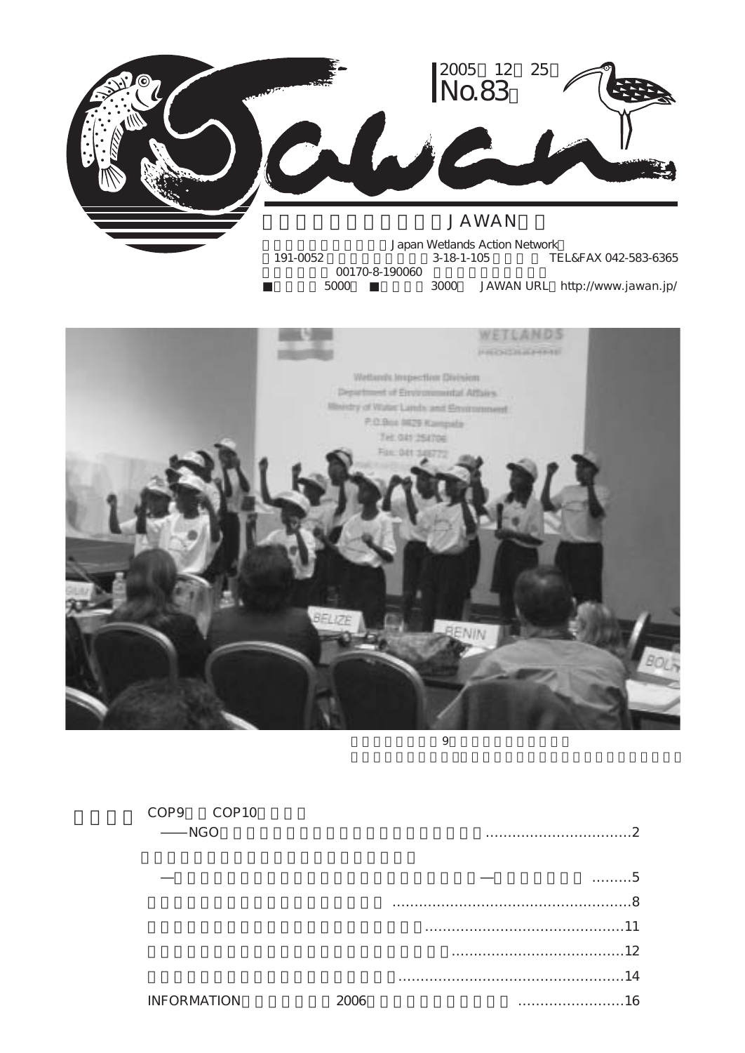

00170-8-190060<br>5000 3000 JAWAN URL http://www.jawan.jp/



| COP10              |                |
|--------------------|----------------|
|                    |                |
|                    |                |
|                    | 片<br>1.1.1.1.1 |
|                    |                |
|                    |                |
|                    |                |
|                    | 14             |
| <b>INFORMATION</b> |                |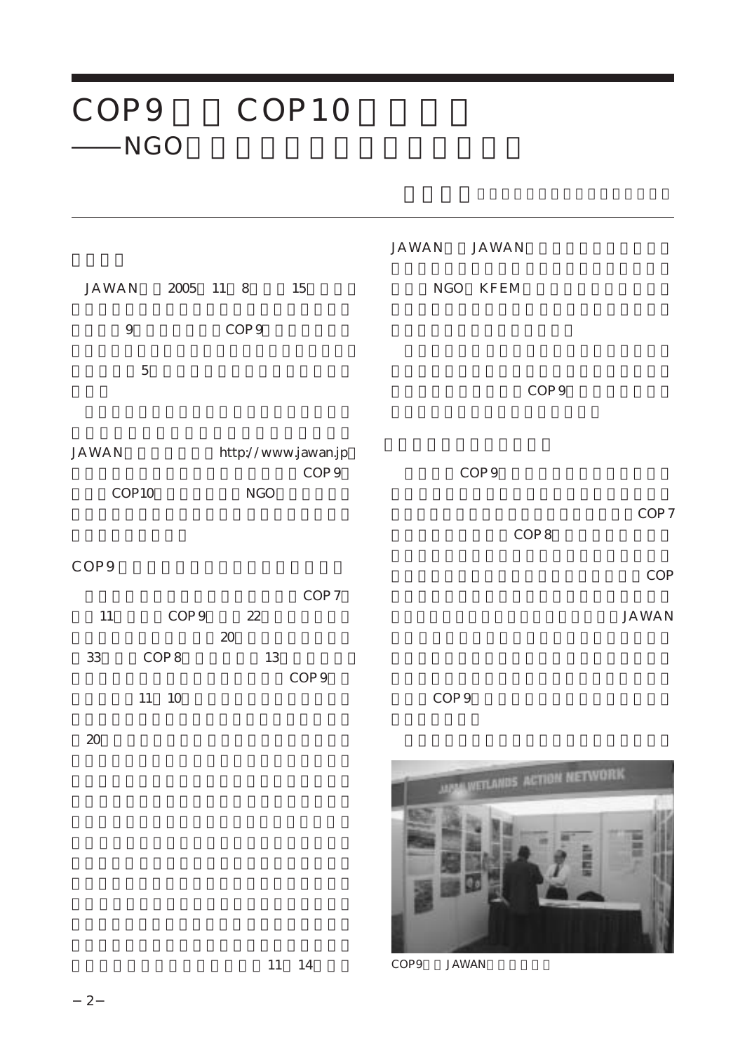## COP9 COP10 NGO

|                       |              |      |             |                             | JA WA N | <b>JAWAN</b> |      |                  |
|-----------------------|--------------|------|-------------|-----------------------------|---------|--------------|------|------------------|
| JA WA N               | 2005         | 11 8 |             | 15                          |         | NGO KFEM     |      |                  |
| $\mathbf 9$           |              |      | COP9        |                             |         |              |      |                  |
| $\mathbf 5$           |              |      |             |                             |         |              | COP9 |                  |
| <b>JAWAN</b><br>COP10 |              |      | ${\rm NGO}$ | http://www.jawan.jp<br>COP9 |         | COP9         |      |                  |
|                       |              |      |             |                             |         |              | COP8 | COP <sub>7</sub> |
| COP9                  |              |      |             |                             |         |              |      | COP              |
| $11\,$                | COP9         | 20   | 22          | COP7                        |         |              |      | <b>JAWAN</b>     |
| $33\,$                | COP 8        |      | 13          | COP <sub>9</sub>            |         |              |      |                  |
|                       | $11\quad 10$ |      |             |                             | COP9    |              |      |                  |
| 20                    |              |      |             |                             |         |              |      |                  |



COP9 JAWAN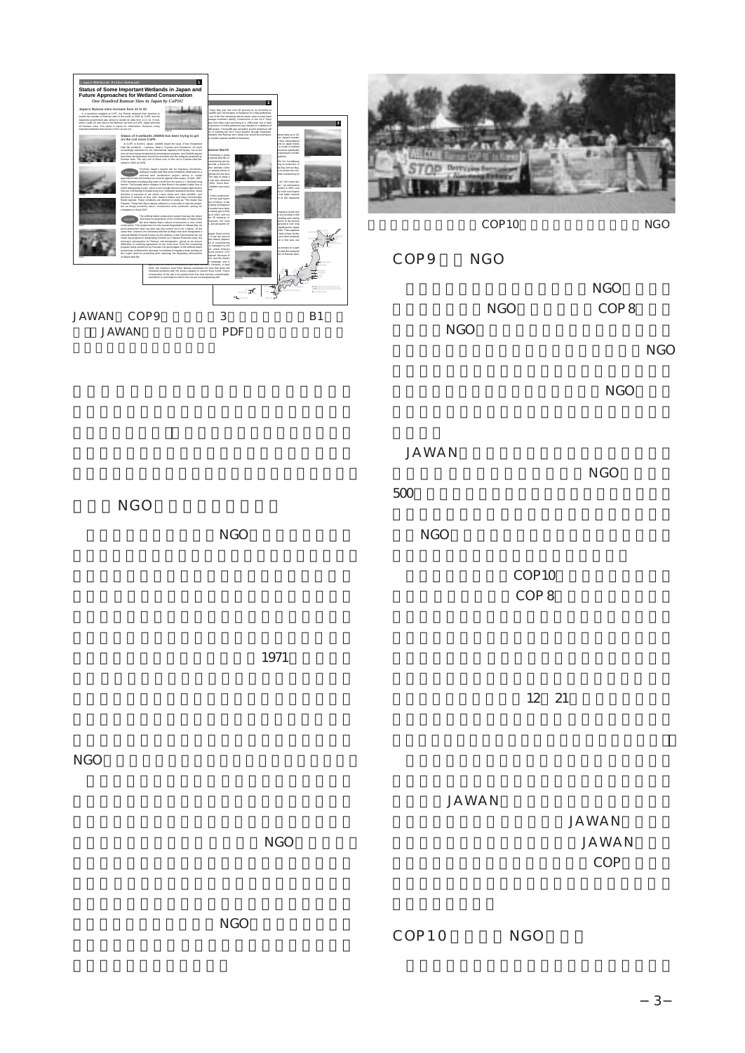

COP10 NGO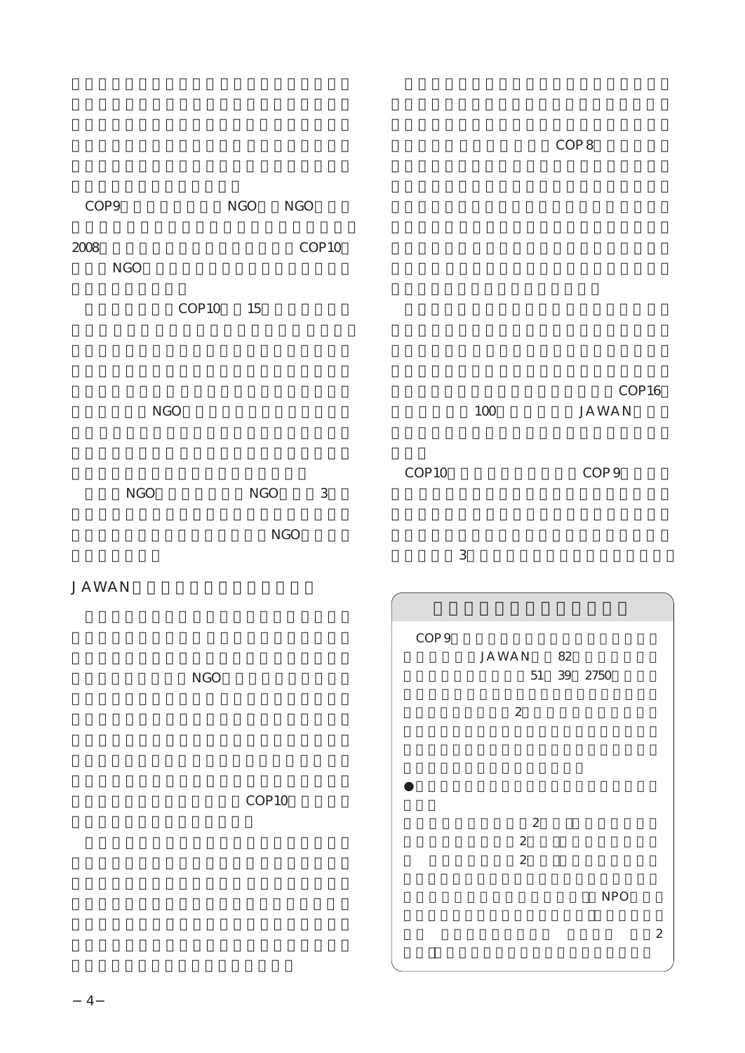COP8

COP16

JAWAN

| COP <sub>9</sub> |             |             | ${\rm NGO}$ | <b>NGO</b> |       |     |                  |
|------------------|-------------|-------------|-------------|------------|-------|-----|------------------|
| 2008             | ${\rm NGO}$ |             |             | COP10      |       |     |                  |
|                  |             | COP1O       | 15          |            |       |     |                  |
|                  |             | ${\rm NGO}$ |             |            |       | 100 | C<br>JA WA!      |
|                  |             |             |             |            | COP10 |     | COP <sub>9</sub> |

| NGO | NGO        | 3 |        |
|-----|------------|---|--------|
|     | <b>NGO</b> |   | ↷<br>◡ |

## JAWAN

NGO

COP10

COP<sub>9</sub> JAWAN 82 51 39 2750  $2$  $\sim$  2  $\sim$  2  $\overline{2}$ NPO  $\mathbb{Z}$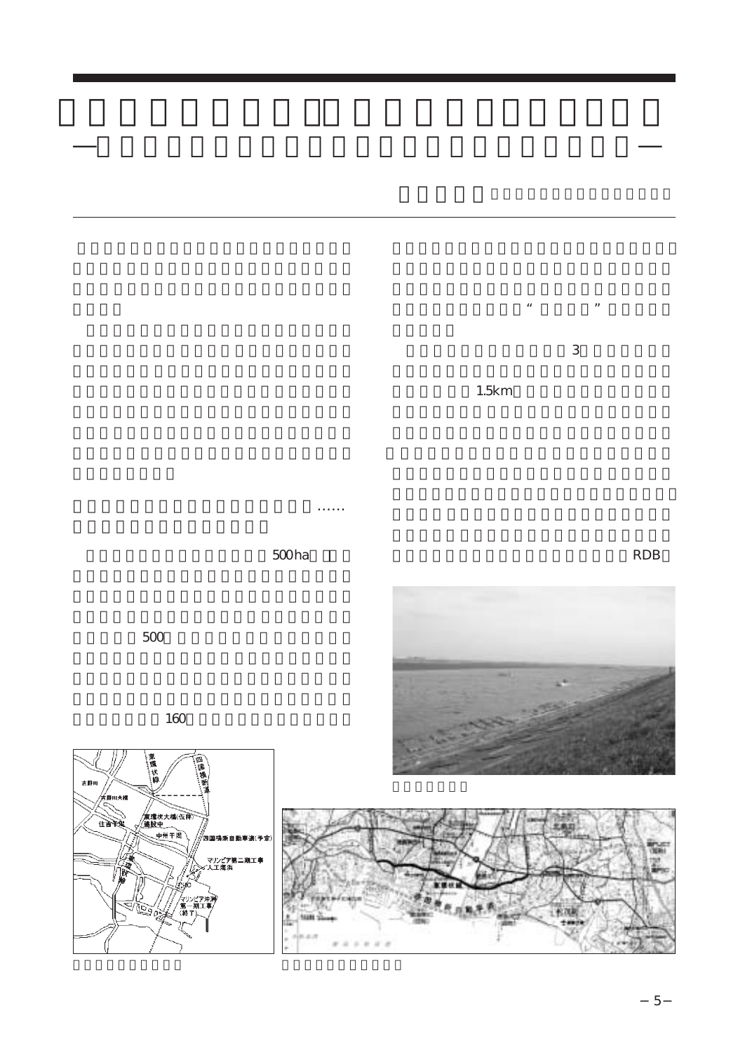





















.<br>⊄म#क

|東西状線

ăI

、<br>エルリント 横

住言主义

-5-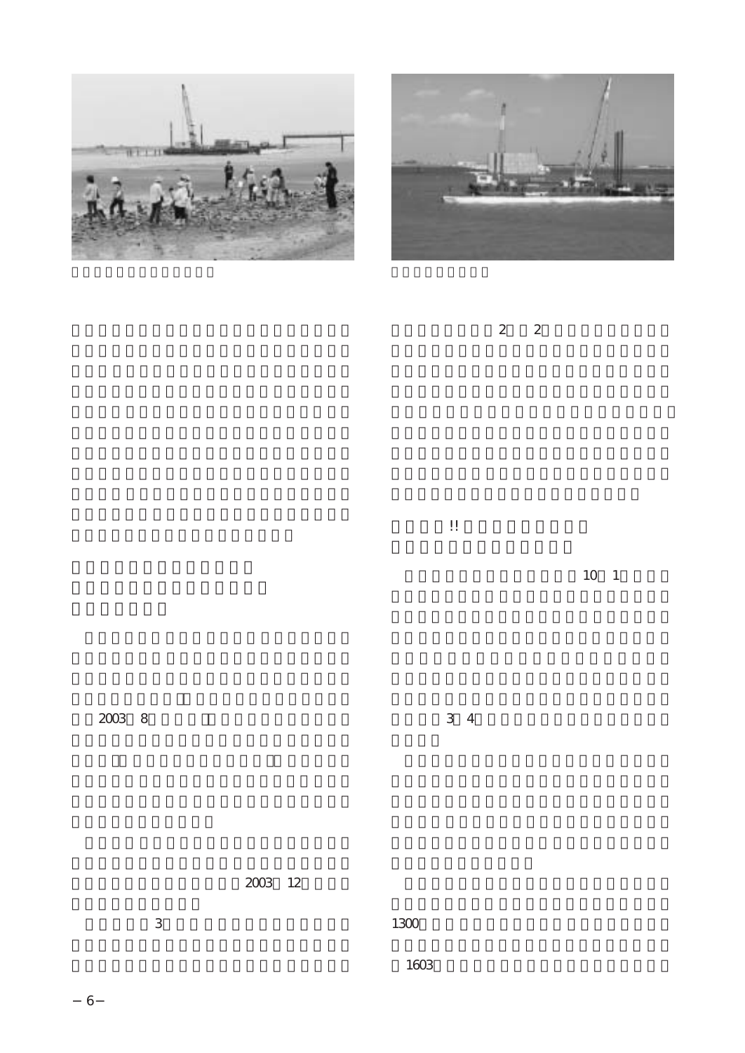



 $2 \t2$ 

緊急問題!! 四国横断自動車道の

 $10 \quad 1$ 

2003 8

る。今後3、4ヶ月の間で検討されることとなっ

2003 12

 $3<sub>h</sub>$ 

 $1300$ 

1603

-6-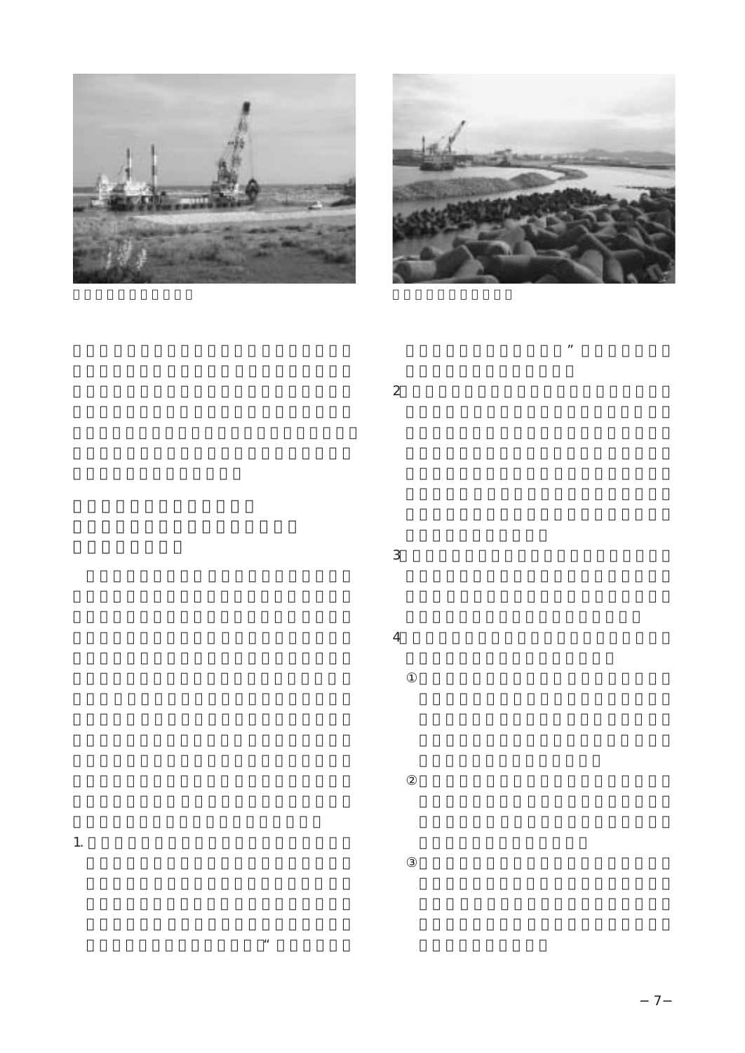

 $\alpha$ 



の渚に高速道路はいらない"運動を広げるこ

 $2 \angle$ 

 $3 \text{ }$ 

 $4\overline{ }$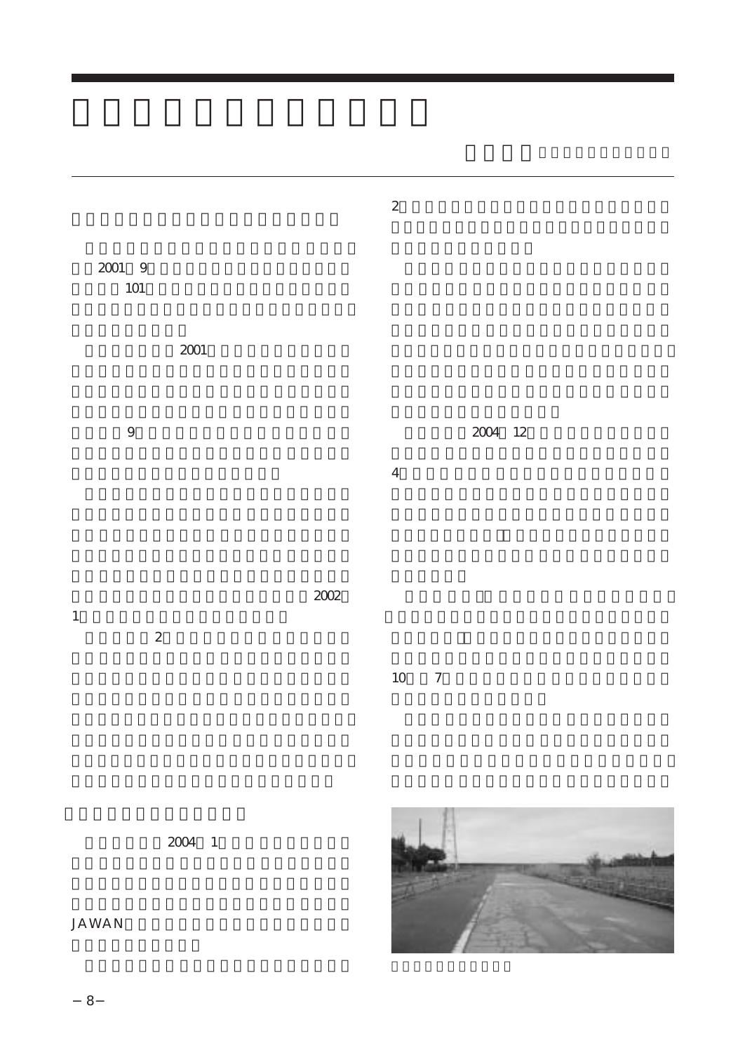$20019$ 101  $2001$  $9$  $2002$ 1  $\sim$  $2$ 2004 12  $4$ 10 7



 $2004 \quad 1$ 

**JAWAN**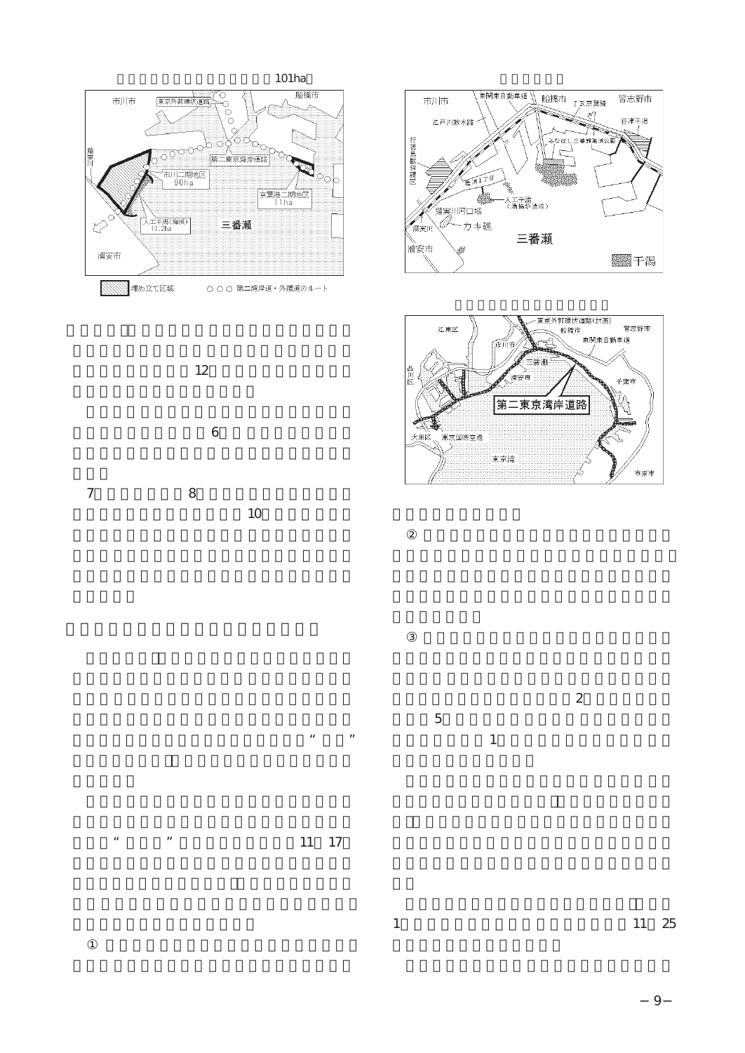

 $12$ 

 $6\,$ 











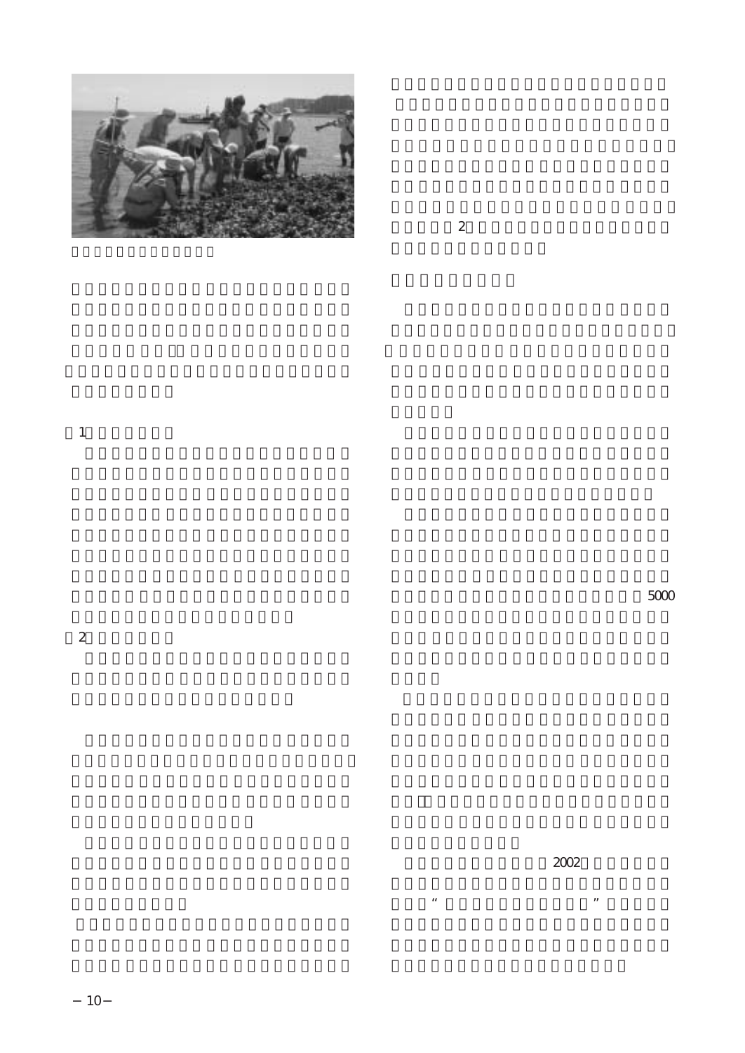

 $\mathbf 2$ 

 $\overline{1}$ 

 $\mathfrak z$ 

 $5000$ 

 $2002\,$ 

 $\frac{1}{2}$   $\frac{1}{2}$   $\frac{1}{2}$   $\frac{1}{2}$   $\frac{1}{2}$   $\frac{1}{2}$   $\frac{1}{2}$   $\frac{1}{2}$   $\frac{1}{2}$   $\frac{1}{2}$   $\frac{1}{2}$   $\frac{1}{2}$   $\frac{1}{2}$   $\frac{1}{2}$   $\frac{1}{2}$   $\frac{1}{2}$   $\frac{1}{2}$   $\frac{1}{2}$   $\frac{1}{2}$   $\frac{1}{2}$   $\frac{1}{2}$   $\frac{1}{2}$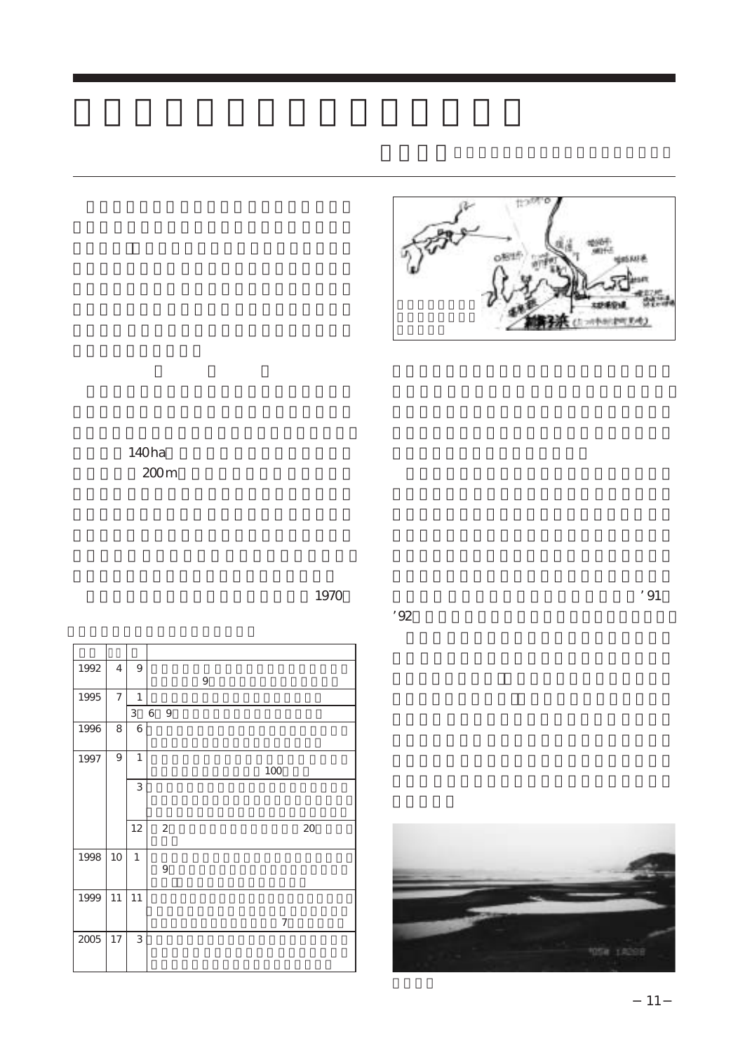

140ha 200m

1970

| 1992 | $\overline{4}$ | 9            |                |   |                |    |
|------|----------------|--------------|----------------|---|----------------|----|
|      |                |              |                | 9 |                |    |
| 1995 | $\overline{7}$ | 1            |                |   |                |    |
|      |                | 3            | 6 9            |   |                |    |
| 1996 | 8              | 6            |                |   |                |    |
| 1997 | 9              | 1            |                |   | 100            |    |
|      |                | 3            |                |   |                |    |
|      |                | 12           | $\overline{2}$ |   |                | 20 |
| 1998 | 10             | $\mathbf{1}$ | 9              |   |                |    |
| 1999 | 11             | 11           |                |   | $\overline{7}$ |    |
| 2005 | 17             | 3            |                |   |                |    |

 $'92$ 

 $\cdot$  91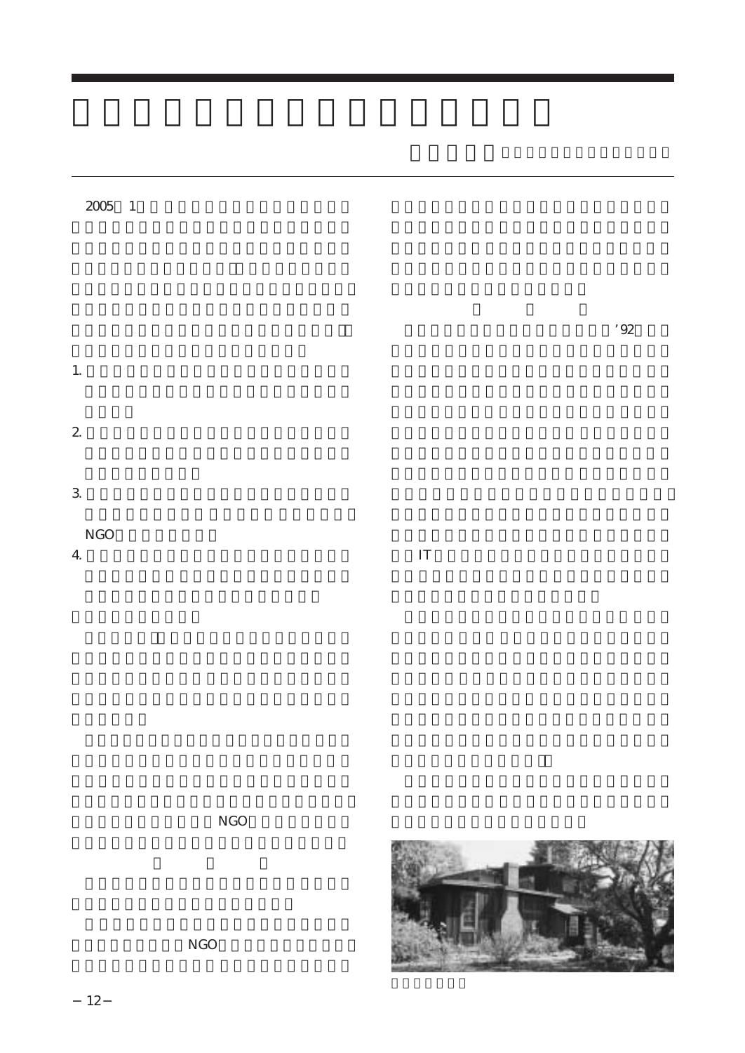| $2005\quad 1$         |             |                     |             |
|-----------------------|-------------|---------------------|-------------|
|                       |             |                     |             |
|                       |             |                     | $^\circ$ 92 |
| $1. \,$               |             |                     |             |
| $\mathbf{z}$          |             |                     |             |
| $\mathfrak{S}$        |             |                     |             |
| NGO<br>$\overline{4}$ |             | $\operatorname{IT}$ |             |
|                       |             |                     |             |
|                       |             |                     |             |
|                       |             |                     |             |
|                       |             |                     |             |
|                       | ${\rm NGO}$ |                     |             |
|                       | ${\rm NGO}$ |                     |             |
|                       |             |                     |             |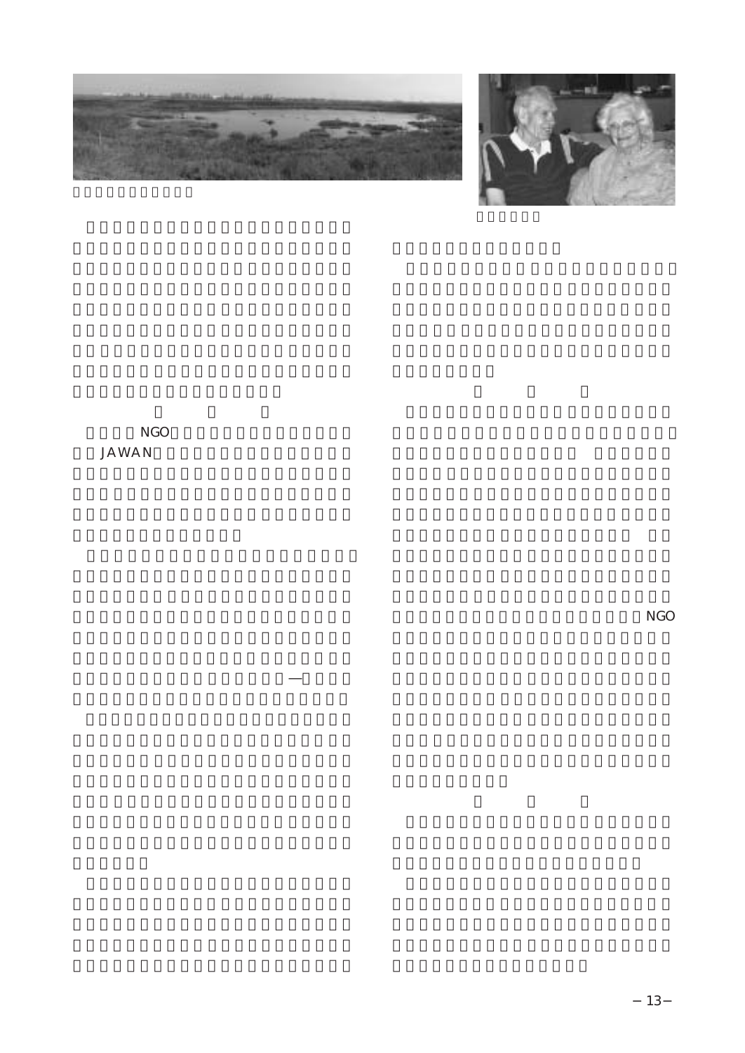



NGO JA WAN

 $NGO$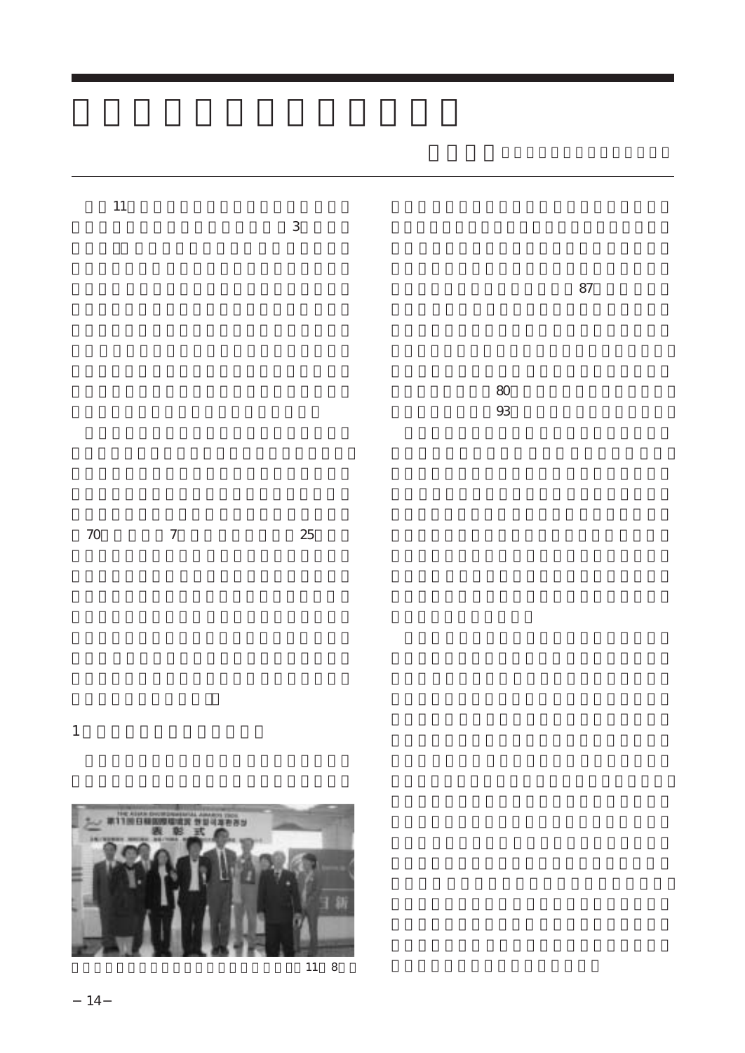$11$  $3$ フ70名 会員数7万名、年間財政規模25億ウォ 1.  $\blacksquare$  $87$  $80$  $93<sub>1</sub>$ 

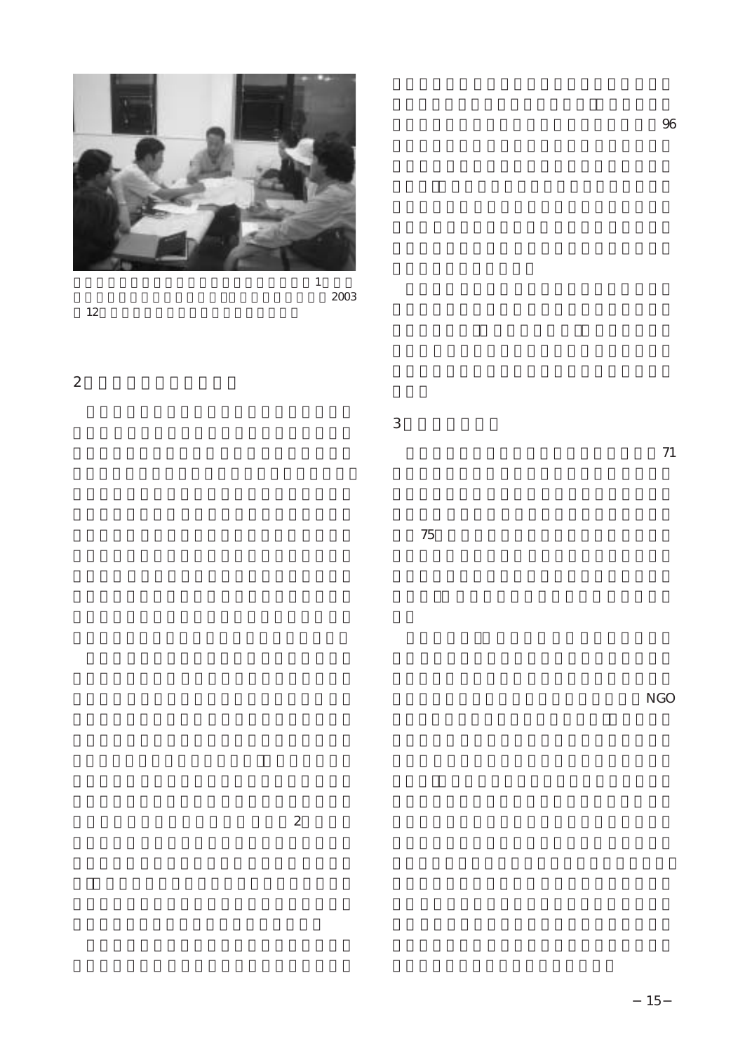

 $2003$ 

 $12$ 

2.  $\blacksquare$ 

3.日本への教訓

 $\sim$  96

 $71$ 

 $75$ 

 $NGO$